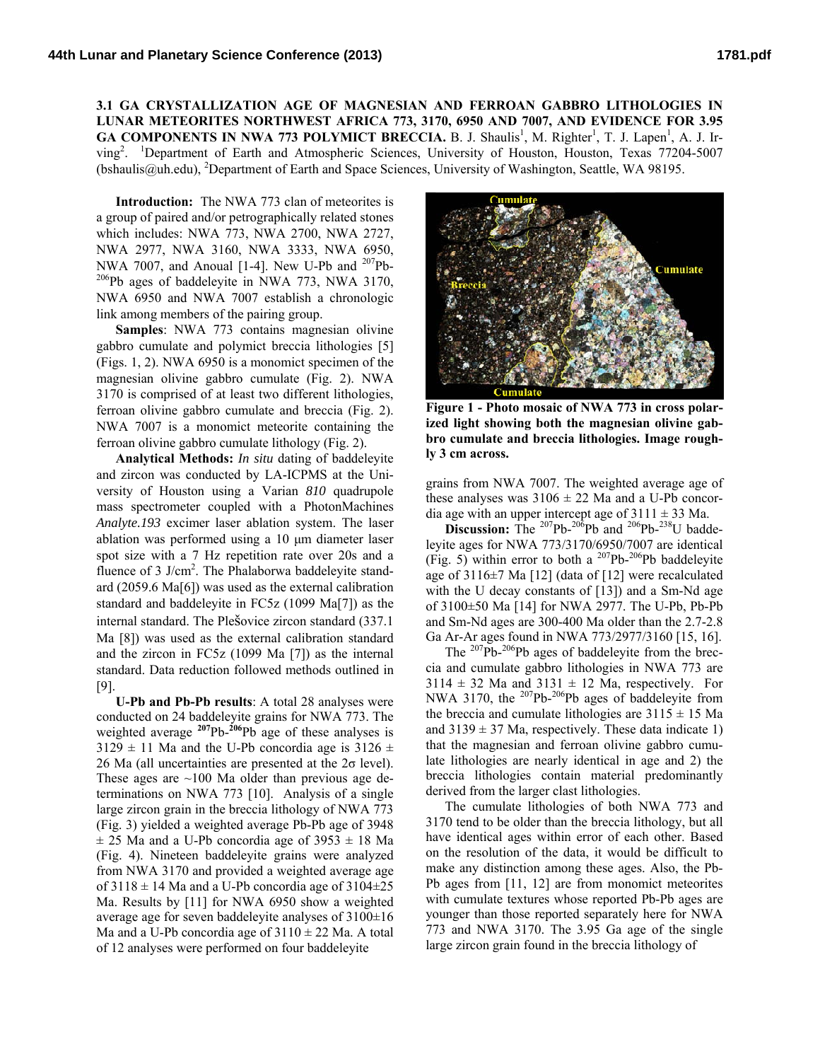**3.1 GA CRYSTALLIZATION AGE OF MAGNESIAN AND FERROAN GABBRO LITHOLOGIES IN LUNAR METEORITES NORTHWEST AFRICA 773, 3170, 6950 AND 7007, AND EVIDENCE FOR 3.95 GA COMPONENTS IN NWA 773 POLYMICT BRECCIA.** B. J. Shaulis<sup>1</sup>, M. Righter<sup>1</sup>, T. J. Lapen<sup>1</sup>, A. J. Irving<sup>2</sup>. <sup>1</sup>Department of Earth and Atmospheric Sciences, University of Houston, Houston, Texas 77204-5007 (bshaulis@uh.edu), <sup>2</sup>Department of Earth and Space Sciences, University of Washington, Seattle, WA 98195.

**Introduction:** The NWA 773 clan of meteorites is a group of paired and/or petrographically related stones which includes: NWA 773, NWA 2700, NWA 2727, NWA 2977, NWA 3160, NWA 3333, NWA 6950, NWA 7007, and Anoual [1-4]. New U-Pb and  $207Pb 206Pb$  ages of baddeleyite in NWA 773, NWA 3170, NWA 6950 and NWA 7007 establish a chronologic link among members of the pairing group.

**Samples**: NWA 773 contains magnesian olivine gabbro cumulate and polymict breccia lithologies [5] (Figs. 1, 2). NWA 6950 is a monomict specimen of the magnesian olivine gabbro cumulate (Fig. 2). NWA 3170 is comprised of at least two different lithologies, ferroan olivine gabbro cumulate and breccia (Fig. 2). NWA 7007 is a monomict meteorite containing the ferroan olivine gabbro cumulate lithology (Fig. 2).

**Analytical Methods:** *In situ* dating of baddeleyite and zircon was conducted by LA-ICPMS at the University of Houston using a Varian *810* quadrupole mass spectrometer coupled with a PhotonMachines *Analyte.193* excimer laser ablation system. The laser ablation was performed using a 10 μm diameter laser spot size with a 7 Hz repetition rate over 20s and a fluence of 3 J/cm<sup>2</sup>. The Phalaborwa baddeleyite standard (2059.6 Ma[6]) was used as the external calibration standard and baddeleyite in FC5z (1099 Ma[7]) as the internal standard. The Plešovice zircon standard (337.1 Ma [8]) was used as the external calibration standard and the zircon in FC5z (1099 Ma [7]) as the internal standard. Data reduction followed methods outlined in [9].

**U-Pb and Pb-Pb results**: A total 28 analyses were conducted on 24 baddeleyite grains for NWA 773. The weighted average **<sup>207</sup>**Pb-**<sup>206</sup>**Pb age of these analyses is  $3129 \pm 11$  Ma and the U-Pb concordia age is  $3126 \pm 11$ 26 Ma (all uncertainties are presented at the  $2\sigma$  level). These ages are  $\sim$ 100 Ma older than previous age determinations on NWA 773 [10]. Analysis of a single large zircon grain in the breccia lithology of NWA 773 (Fig. 3) yielded a weighted average Pb-Pb age of 3948  $\pm$  25 Ma and a U-Pb concordia age of 3953  $\pm$  18 Ma (Fig. 4). Nineteen baddeleyite grains were analyzed from NWA 3170 and provided a weighted average age of  $3118 \pm 14$  Ma and a U-Pb concordia age of  $3104 \pm 25$ Ma. Results by [11] for NWA 6950 show a weighted average age for seven baddeleyite analyses of 3100±16 Ma and a U-Pb concordia age of  $3110 \pm 22$  Ma. A total of 12 analyses were performed on four baddeleyite



**Figure 1 - Photo mosaic of NWA 773 in cross polarized light showing both the magnesian olivine gabbro cumulate and breccia lithologies. Image roughly 3 cm across.** 

grains from NWA 7007. The weighted average age of these analyses was  $3106 \pm 22$  Ma and a U-Pb concordia age with an upper intercept age of  $3111 \pm 33$  Ma.

Discussion: The <sup>207</sup>Pb-<sup>206</sup>Pb and <sup>206</sup>Pb-<sup>238</sup>U baddeleyite ages for NWA 773/3170/6950/7007 are identical (Fig. 5) within error to both a  $207Pb-206Pb$  baddeleyite age of 3116±7 Ma [12] (data of [12] were recalculated with the U decay constants of [13]) and a Sm-Nd age of 3100±50 Ma [14] for NWA 2977. The U-Pb, Pb-Pb and Sm-Nd ages are 300-400 Ma older than the 2.7-2.8 Ga Ar-Ar ages found in NWA 773/2977/3160 [15, 16].

The <sup>207</sup>Pb-<sup>206</sup>Pb ages of baddeleyite from the breccia and cumulate gabbro lithologies in NWA 773 are  $3114 \pm 32$  Ma and  $3131 \pm 12$  Ma, respectively. For NWA 3170, the  $207Pb-206Pb$  ages of baddeleyite from the breccia and cumulate lithologies are  $3115 \pm 15$  Ma and  $3139 \pm 37$  Ma, respectively. These data indicate 1) that the magnesian and ferroan olivine gabbro cumulate lithologies are nearly identical in age and 2) the breccia lithologies contain material predominantly derived from the larger clast lithologies.

The cumulate lithologies of both NWA 773 and 3170 tend to be older than the breccia lithology, but all have identical ages within error of each other. Based on the resolution of the data, it would be difficult to make any distinction among these ages. Also, the Pb-Pb ages from [11, 12] are from monomict meteorites with cumulate textures whose reported Pb-Pb ages are younger than those reported separately here for NWA 773 and NWA 3170. The 3.95 Ga age of the single large zircon grain found in the breccia lithology of